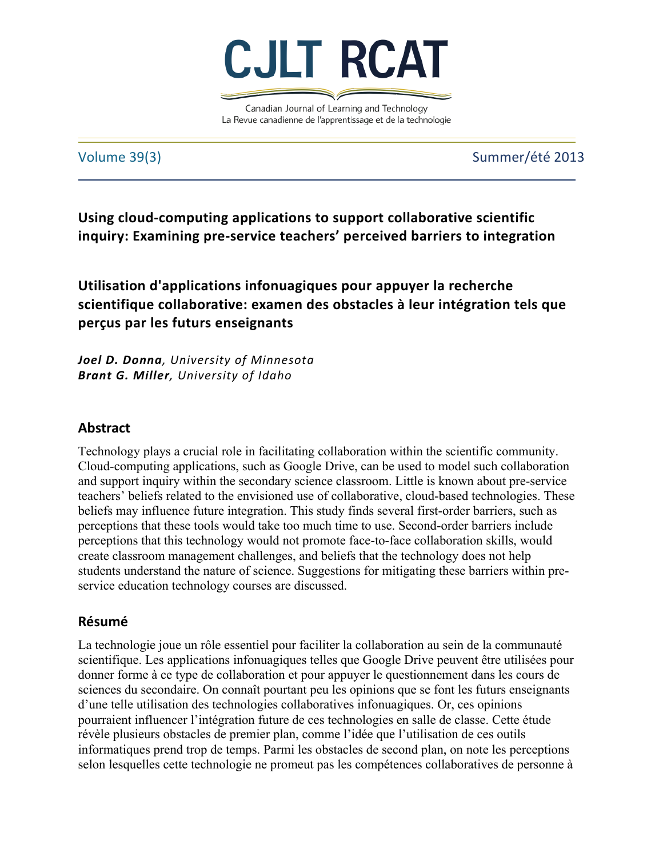

Canadian Journal of Learning and Technology La Revue canadienne de l'apprentissage et de la technologie

# Volume 39(3) Summer/été 2013

**Using cloud-computing applications to support collaborative scientific** inquiry: Examining pre-service teachers' perceived barriers to integration

**Utilisation d'applications infonuagiques pour appuyer la recherche scientifique collaborative: examen des obstacles à leur intégration tels que perçus par les futurs enseignants**

*Joel D. Donna, University of Minnesota Brant G. Miller, University of Idaho*

# **Abstract**

Technology plays a crucial role in facilitating collaboration within the scientific community. Cloud-computing applications, such as Google Drive, can be used to model such collaboration and support inquiry within the secondary science classroom. Little is known about pre-service teachers' beliefs related to the envisioned use of collaborative, cloud-based technologies. These beliefs may influence future integration. This study finds several first-order barriers, such as perceptions that these tools would take too much time to use. Second-order barriers include perceptions that this technology would not promote face-to-face collaboration skills, would create classroom management challenges, and beliefs that the technology does not help students understand the nature of science. Suggestions for mitigating these barriers within preservice education technology courses are discussed.

# **Résumé**

La technologie joue un rôle essentiel pour faciliter la collaboration au sein de la communauté scientifique. Les applications infonuagiques telles que Google Drive peuvent être utilisées pour donner forme à ce type de collaboration et pour appuyer le questionnement dans les cours de sciences du secondaire. On connaît pourtant peu les opinions que se font les futurs enseignants d'une telle utilisation des technologies collaboratives infonuagiques. Or, ces opinions pourraient influencer l'intégration future de ces technologies en salle de classe. Cette étude révèle plusieurs obstacles de premier plan, comme l'idée que l'utilisation de ces outils informatiques prend trop de temps. Parmi les obstacles de second plan, on note les perceptions selon lesquelles cette technologie ne promeut pas les compétences collaboratives de personne à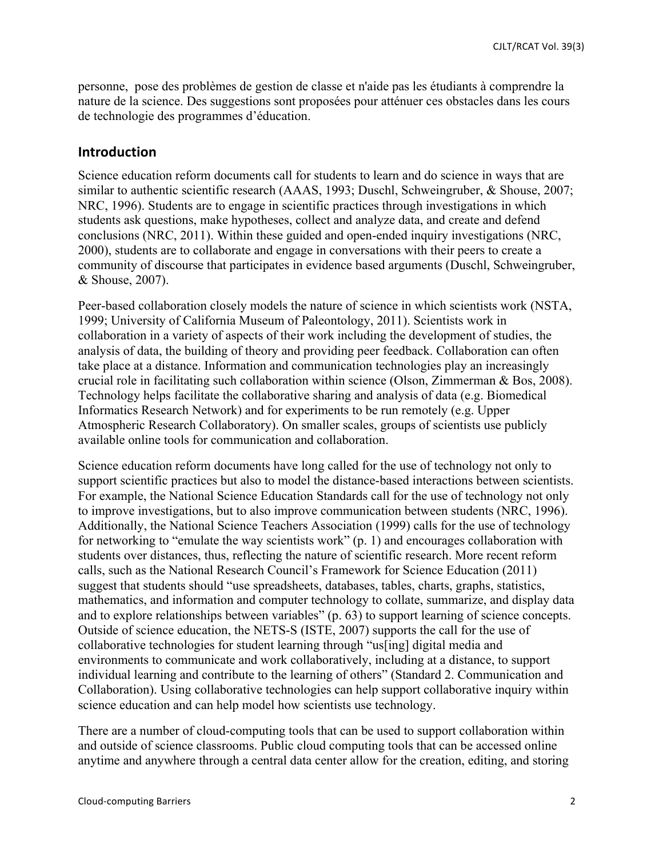personne, pose des problèmes de gestion de classe et n'aide pas les étudiants à comprendre la nature de la science. Des suggestions sont proposées pour atténuer ces obstacles dans les cours de technologie des programmes d'éducation.

## **Introduction**

Science education reform documents call for students to learn and do science in ways that are similar to authentic scientific research (AAAS, 1993; Duschl, Schweingruber, & Shouse, 2007; NRC, 1996). Students are to engage in scientific practices through investigations in which students ask questions, make hypotheses, collect and analyze data, and create and defend conclusions (NRC, 2011). Within these guided and open-ended inquiry investigations (NRC, 2000), students are to collaborate and engage in conversations with their peers to create a community of discourse that participates in evidence based arguments (Duschl, Schweingruber, & Shouse, 2007).

Peer-based collaboration closely models the nature of science in which scientists work (NSTA, 1999; University of California Museum of Paleontology, 2011). Scientists work in collaboration in a variety of aspects of their work including the development of studies, the analysis of data, the building of theory and providing peer feedback. Collaboration can often take place at a distance. Information and communication technologies play an increasingly crucial role in facilitating such collaboration within science (Olson, Zimmerman & Bos, 2008). Technology helps facilitate the collaborative sharing and analysis of data (e.g. Biomedical Informatics Research Network) and for experiments to be run remotely (e.g. Upper Atmospheric Research Collaboratory). On smaller scales, groups of scientists use publicly available online tools for communication and collaboration.

Science education reform documents have long called for the use of technology not only to support scientific practices but also to model the distance-based interactions between scientists. For example, the National Science Education Standards call for the use of technology not only to improve investigations, but to also improve communication between students (NRC, 1996). Additionally, the National Science Teachers Association (1999) calls for the use of technology for networking to "emulate the way scientists work" (p. 1) and encourages collaboration with students over distances, thus, reflecting the nature of scientific research. More recent reform calls, such as the National Research Council's Framework for Science Education (2011) suggest that students should "use spreadsheets, databases, tables, charts, graphs, statistics, mathematics, and information and computer technology to collate, summarize, and display data and to explore relationships between variables" (p. 63) to support learning of science concepts. Outside of science education, the NETS-S (ISTE, 2007) supports the call for the use of collaborative technologies for student learning through "us[ing] digital media and environments to communicate and work collaboratively, including at a distance, to support individual learning and contribute to the learning of others" (Standard 2. Communication and Collaboration). Using collaborative technologies can help support collaborative inquiry within science education and can help model how scientists use technology.

There are a number of cloud-computing tools that can be used to support collaboration within and outside of science classrooms. Public cloud computing tools that can be accessed online anytime and anywhere through a central data center allow for the creation, editing, and storing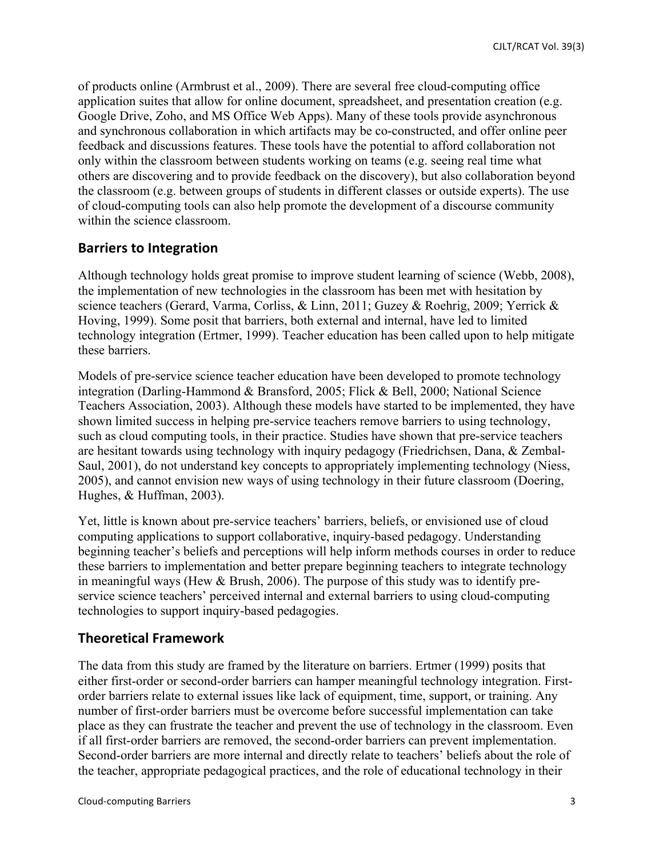of products online (Armbrust et al., 2009). There are several free cloud-computing office application suites that allow for online document, spreadsheet, and presentation creation (e.g. Google Drive, Zoho, and MS Office Web Apps). Many of these tools provide asynchronous and synchronous collaboration in which artifacts may be co-constructed, and offer online peer feedback and discussions features. These tools have the potential to afford collaboration not only within the classroom between students working on teams (e.g. seeing real time what others are discovering and to provide feedback on the discovery), but also collaboration beyond the classroom (e.g. between groups of students in different classes or outside experts). The use of cloud-computing tools can also help promote the development of a discourse community within the science classroom.

## **Barriers to Integration**

Although technology holds great promise to improve student learning of science (Webb, 2008), the implementation of new technologies in the classroom has been met with hesitation by science teachers (Gerard, Varma, Corliss, & Linn, 2011; Guzey & Roehrig, 2009; Yerrick & Hoving, 1999). Some posit that barriers, both external and internal, have led to limited technology integration (Ertmer, 1999). Teacher education has been called upon to help mitigate these barriers.

Models of pre-service science teacher education have been developed to promote technology integration (Darling-Hammond & Bransford, 2005; Flick & Bell, 2000; National Science Teachers Association, 2003). Although these models have started to be implemented, they have shown limited success in helping pre-service teachers remove barriers to using technology, such as cloud computing tools, in their practice. Studies have shown that pre-service teachers are hesitant towards using technology with inquiry pedagogy (Friedrichsen, Dana, & Zembal-Saul, 2001), do not understand key concepts to appropriately implementing technology (Niess, 2005), and cannot envision new ways of using technology in their future classroom (Doering, Hughes, & Huffman, 2003).

Yet, little is known about pre-service teachers' barriers, beliefs, or envisioned use of cloud computing applications to support collaborative, inquiry-based pedagogy. Understanding beginning teacher's beliefs and perceptions will help inform methods courses in order to reduce these barriers to implementation and better prepare beginning teachers to integrate technology in meaningful ways (Hew & Brush, 2006). The purpose of this study was to identify preservice science teachers' perceived internal and external barriers to using cloud-computing technologies to support inquiry-based pedagogies.

# **Theoretical Framework**

The data from this study are framed by the literature on barriers. Ertmer (1999) posits that either first-order or second-order barriers can hamper meaningful technology integration. Firstorder barriers relate to external issues like lack of equipment, time, support, or training. Any number of first-order barriers must be overcome before successful implementation can take place as they can frustrate the teacher and prevent the use of technology in the classroom. Even if all first-order barriers are removed, the second-order barriers can prevent implementation. Second-order barriers are more internal and directly relate to teachers' beliefs about the role of the teacher, appropriate pedagogical practices, and the role of educational technology in their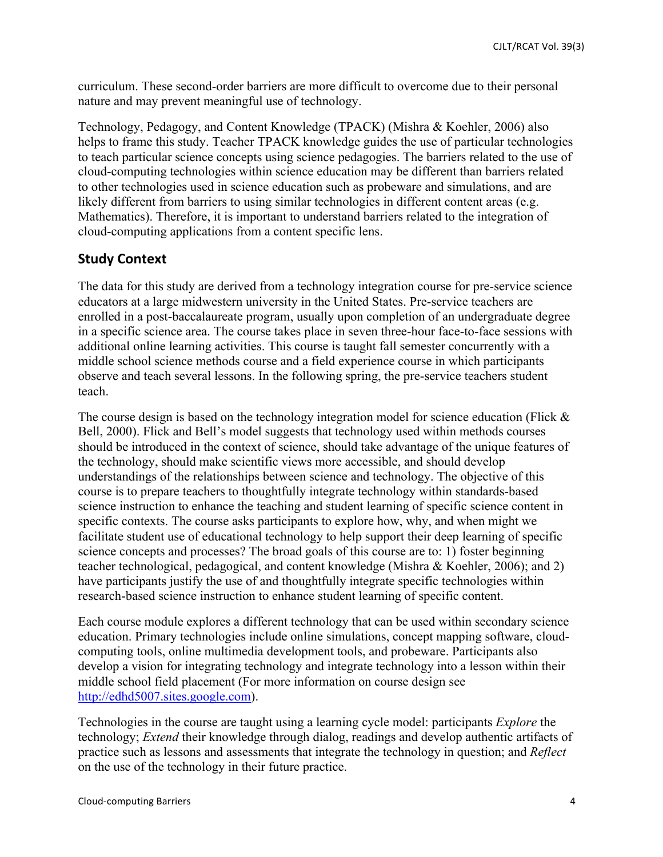curriculum. These second-order barriers are more difficult to overcome due to their personal nature and may prevent meaningful use of technology.

Technology, Pedagogy, and Content Knowledge (TPACK) (Mishra & Koehler, 2006) also helps to frame this study. Teacher TPACK knowledge guides the use of particular technologies to teach particular science concepts using science pedagogies. The barriers related to the use of cloud-computing technologies within science education may be different than barriers related to other technologies used in science education such as probeware and simulations, and are likely different from barriers to using similar technologies in different content areas (e.g. Mathematics). Therefore, it is important to understand barriers related to the integration of cloud-computing applications from a content specific lens.

# **Study Context**

The data for this study are derived from a technology integration course for pre-service science educators at a large midwestern university in the United States. Pre-service teachers are enrolled in a post-baccalaureate program, usually upon completion of an undergraduate degree in a specific science area. The course takes place in seven three-hour face-to-face sessions with additional online learning activities. This course is taught fall semester concurrently with a middle school science methods course and a field experience course in which participants observe and teach several lessons. In the following spring, the pre-service teachers student teach.

The course design is based on the technology integration model for science education (Flick & Bell, 2000). Flick and Bell's model suggests that technology used within methods courses should be introduced in the context of science, should take advantage of the unique features of the technology, should make scientific views more accessible, and should develop understandings of the relationships between science and technology. The objective of this course is to prepare teachers to thoughtfully integrate technology within standards-based science instruction to enhance the teaching and student learning of specific science content in specific contexts. The course asks participants to explore how, why, and when might we facilitate student use of educational technology to help support their deep learning of specific science concepts and processes? The broad goals of this course are to: 1) foster beginning teacher technological, pedagogical, and content knowledge (Mishra & Koehler, 2006); and 2) have participants justify the use of and thoughtfully integrate specific technologies within research-based science instruction to enhance student learning of specific content.

Each course module explores a different technology that can be used within secondary science education. Primary technologies include online simulations, concept mapping software, cloudcomputing tools, online multimedia development tools, and probeware. Participants also develop a vision for integrating technology and integrate technology into a lesson within their middle school field placement (For more information on course design see http://edhd5007.sites.google.com).

Technologies in the course are taught using a learning cycle model: participants *Explore* the technology; *Extend* their knowledge through dialog, readings and develop authentic artifacts of practice such as lessons and assessments that integrate the technology in question; and *Reflect* on the use of the technology in their future practice.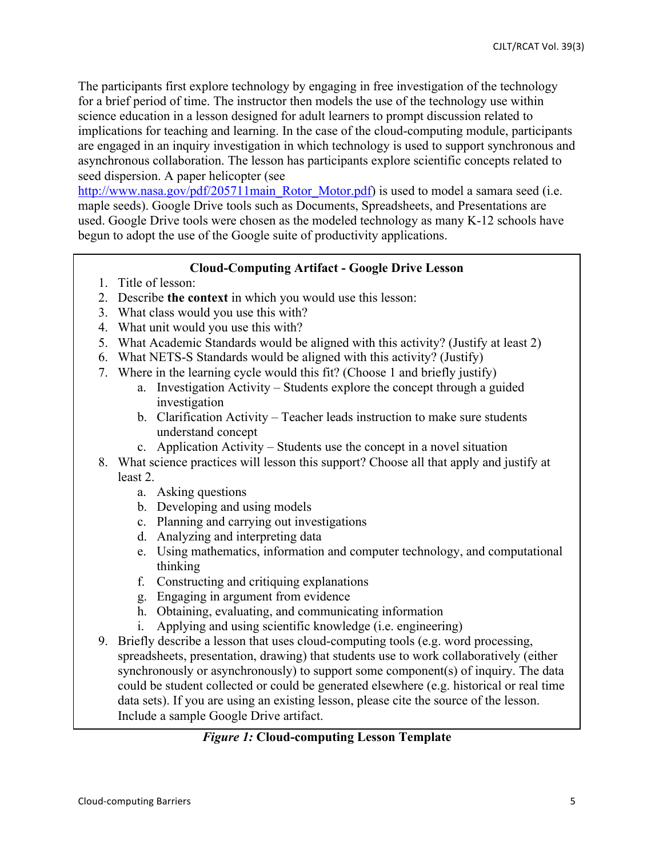The participants first explore technology by engaging in free investigation of the technology for a brief period of time. The instructor then models the use of the technology use within science education in a lesson designed for adult learners to prompt discussion related to implications for teaching and learning. In the case of the cloud-computing module, participants are engaged in an inquiry investigation in which technology is used to support synchronous and asynchronous collaboration. The lesson has participants explore scientific concepts related to seed dispersion. A paper helicopter (see

http://www.nasa.gov/pdf/205711main\_Rotor\_Motor.pdf) is used to model a samara seed (i.e. maple seeds). Google Drive tools such as Documents, Spreadsheets, and Presentations are used. Google Drive tools were chosen as the modeled technology as many K-12 schools have begun to adopt the use of the Google suite of productivity applications.

## **Cloud-Computing Artifact - Google Drive Lesson**

- 1. Title of lesson:
- 2. Describe **the context** in which you would use this lesson:
- 3. What class would you use this with?
- 4. What unit would you use this with?
- 5. What Academic Standards would be aligned with this activity? (Justify at least 2)
- 6. What NETS-S Standards would be aligned with this activity? (Justify)
- 7. Where in the learning cycle would this fit? (Choose 1 and briefly justify)
	- a. Investigation Activity Students explore the concept through a guided investigation
	- b. Clarification Activity Teacher leads instruction to make sure students understand concept
	- c. Application Activity Students use the concept in a novel situation
- 8. What science practices will lesson this support? Choose all that apply and justify at least 2.
	- a. Asking questions
	- b. Developing and using models
	- c. Planning and carrying out investigations
	- d. Analyzing and interpreting data
	- e. Using mathematics, information and computer technology, and computational thinking
	- f. Constructing and critiquing explanations
	- g. Engaging in argument from evidence
	- h. Obtaining, evaluating, and communicating information
	- i. Applying and using scientific knowledge (i.e. engineering)
- 9. Briefly describe a lesson that uses cloud-computing tools (e.g. word processing, spreadsheets, presentation, drawing) that students use to work collaboratively (either synchronously or asynchronously) to support some component(s) of inquiry. The data could be student collected or could be generated elsewhere (e.g. historical or real time data sets). If you are using an existing lesson, please cite the source of the lesson. Include a sample Google Drive artifact.

# *Figure 1:* **Cloud-computing Lesson Template**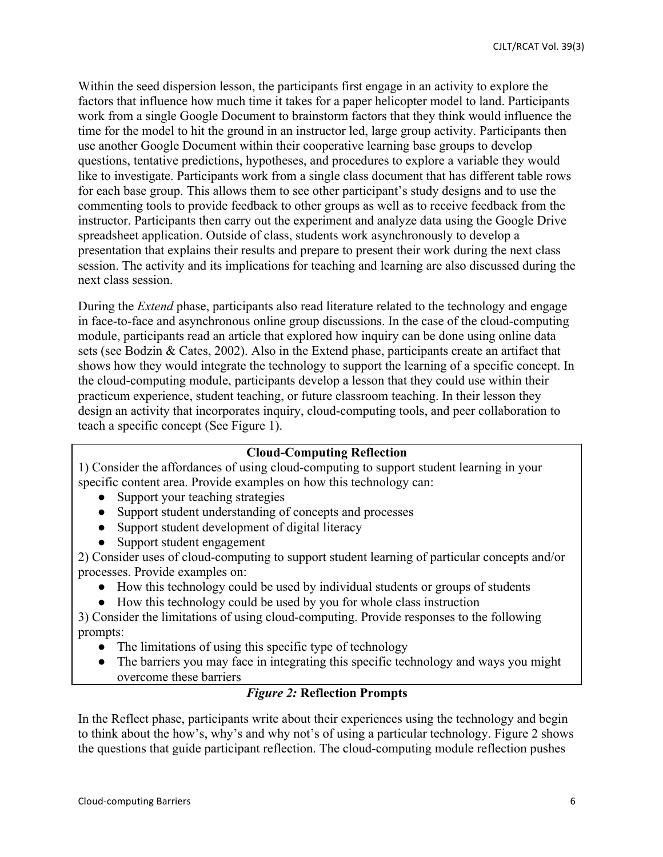Within the seed dispersion lesson, the participants first engage in an activity to explore the factors that influence how much time it takes for a paper helicopter model to land. Participants work from a single Google Document to brainstorm factors that they think would influence the time for the model to hit the ground in an instructor led, large group activity. Participants then use another Google Document within their cooperative learning base groups to develop questions, tentative predictions, hypotheses, and procedures to explore a variable they would like to investigate. Participants work from a single class document that has different table rows for each base group. This allows them to see other participant's study designs and to use the commenting tools to provide feedback to other groups as well as to receive feedback from the instructor. Participants then carry out the experiment and analyze data using the Google Drive spreadsheet application. Outside of class, students work asynchronously to develop a presentation that explains their results and prepare to present their work during the next class session. The activity and its implications for teaching and learning are also discussed during the next class session.

During the *Extend* phase, participants also read literature related to the technology and engage in face-to-face and asynchronous online group discussions. In the case of the cloud-computing module, participants read an article that explored how inquiry can be done using online data sets (see Bodzin & Cates, 2002). Also in the Extend phase, participants create an artifact that shows how they would integrate the technology to support the learning of a specific concept. In the cloud-computing module, participants develop a lesson that they could use within their practicum experience, student teaching, or future classroom teaching. In their lesson they design an activity that incorporates inquiry, cloud-computing tools, and peer collaboration to teach a specific concept (See Figure 1).

## **Cloud-Computing Reflection**

1) Consider the affordances of using cloud-computing to support student learning in your specific content area. Provide examples on how this technology can:

- Support your teaching strategies
- Support student understanding of concepts and processes
- Support student development of digital literacy
- Support student engagement

2) Consider uses of cloud-computing to support student learning of particular concepts and/or processes. Provide examples on:

- How this technology could be used by individual students or groups of students
- How this technology could be used by you for whole class instruction

3) Consider the limitations of using cloud-computing. Provide responses to the following prompts:

- The limitations of using this specific type of technology
- The barriers you may face in integrating this specific technology and ways you might overcome these barriers

# *Figure 2:* **Reflection Prompts**

In the Reflect phase, participants write about their experiences using the technology and begin to think about the how's, why's and why not's of using a particular technology. Figure 2 shows the questions that guide participant reflection. The cloud-computing module reflection pushes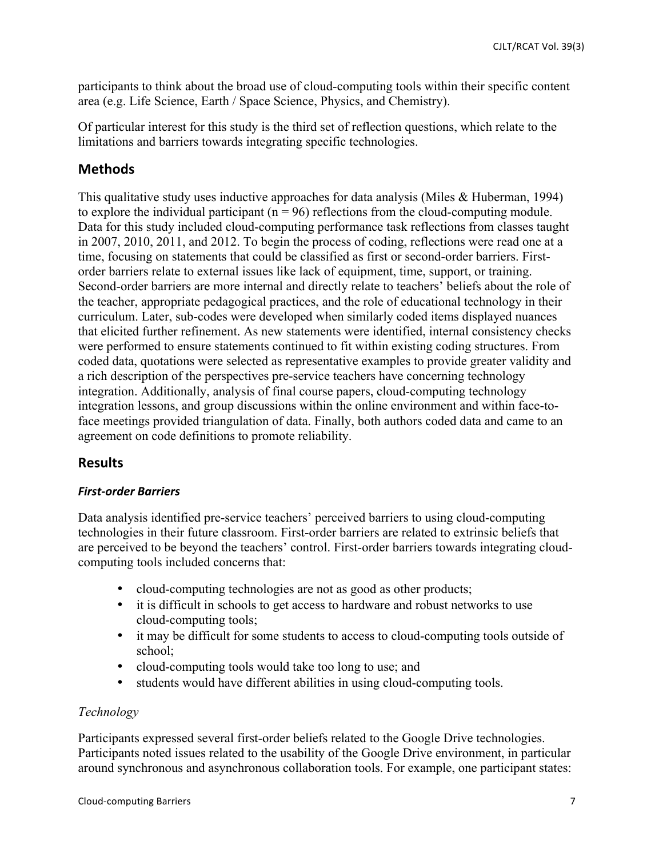participants to think about the broad use of cloud-computing tools within their specific content area (e.g. Life Science, Earth / Space Science, Physics, and Chemistry).

Of particular interest for this study is the third set of reflection questions, which relate to the limitations and barriers towards integrating specific technologies.

# **Methods**

This qualitative study uses inductive approaches for data analysis (Miles & Huberman, 1994) to explore the individual participant  $(n = 96)$  reflections from the cloud-computing module. Data for this study included cloud-computing performance task reflections from classes taught in 2007, 2010, 2011, and 2012. To begin the process of coding, reflections were read one at a time, focusing on statements that could be classified as first or second-order barriers. Firstorder barriers relate to external issues like lack of equipment, time, support, or training. Second-order barriers are more internal and directly relate to teachers' beliefs about the role of the teacher, appropriate pedagogical practices, and the role of educational technology in their curriculum. Later, sub-codes were developed when similarly coded items displayed nuances that elicited further refinement. As new statements were identified, internal consistency checks were performed to ensure statements continued to fit within existing coding structures. From coded data, quotations were selected as representative examples to provide greater validity and a rich description of the perspectives pre-service teachers have concerning technology integration. Additionally, analysis of final course papers, cloud-computing technology integration lessons, and group discussions within the online environment and within face-toface meetings provided triangulation of data. Finally, both authors coded data and came to an agreement on code definitions to promote reliability.

# **Results**

## *First-order Barriers*

Data analysis identified pre-service teachers' perceived barriers to using cloud-computing technologies in their future classroom. First-order barriers are related to extrinsic beliefs that are perceived to be beyond the teachers' control. First-order barriers towards integrating cloudcomputing tools included concerns that:

- cloud-computing technologies are not as good as other products;
- it is difficult in schools to get access to hardware and robust networks to use cloud-computing tools;
- it may be difficult for some students to access to cloud-computing tools outside of school;
- cloud-computing tools would take too long to use; and
- students would have different abilities in using cloud-computing tools.

## *Technology*

Participants expressed several first-order beliefs related to the Google Drive technologies. Participants noted issues related to the usability of the Google Drive environment, in particular around synchronous and asynchronous collaboration tools. For example, one participant states: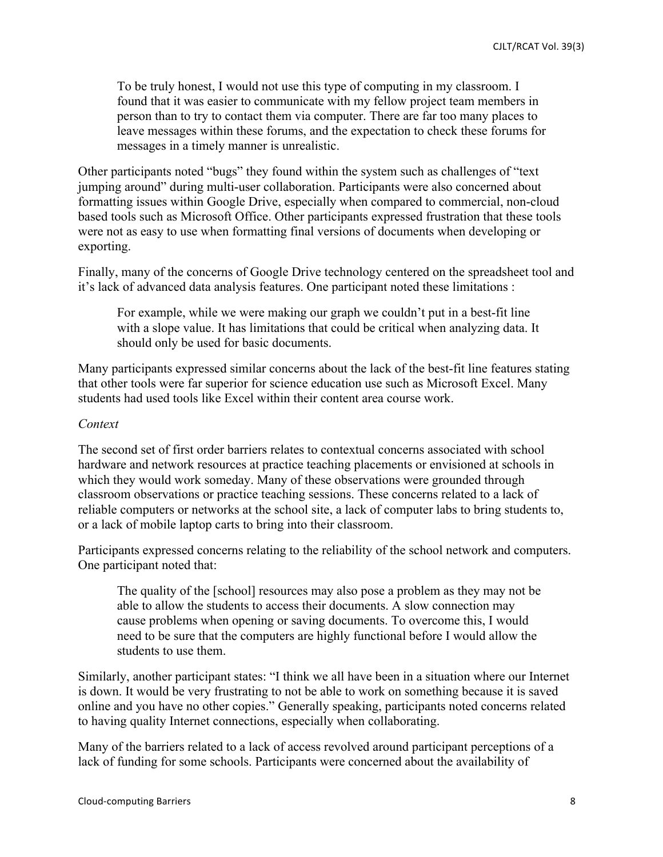To be truly honest, I would not use this type of computing in my classroom. I found that it was easier to communicate with my fellow project team members in person than to try to contact them via computer. There are far too many places to leave messages within these forums, and the expectation to check these forums for messages in a timely manner is unrealistic.

Other participants noted "bugs" they found within the system such as challenges of "text jumping around" during multi-user collaboration. Participants were also concerned about formatting issues within Google Drive, especially when compared to commercial, non-cloud based tools such as Microsoft Office. Other participants expressed frustration that these tools were not as easy to use when formatting final versions of documents when developing or exporting.

Finally, many of the concerns of Google Drive technology centered on the spreadsheet tool and it's lack of advanced data analysis features. One participant noted these limitations :

For example, while we were making our graph we couldn't put in a best-fit line with a slope value. It has limitations that could be critical when analyzing data. It should only be used for basic documents.

Many participants expressed similar concerns about the lack of the best-fit line features stating that other tools were far superior for science education use such as Microsoft Excel. Many students had used tools like Excel within their content area course work.

#### *Context*

The second set of first order barriers relates to contextual concerns associated with school hardware and network resources at practice teaching placements or envisioned at schools in which they would work someday. Many of these observations were grounded through classroom observations or practice teaching sessions. These concerns related to a lack of reliable computers or networks at the school site, a lack of computer labs to bring students to, or a lack of mobile laptop carts to bring into their classroom.

Participants expressed concerns relating to the reliability of the school network and computers. One participant noted that:

The quality of the [school] resources may also pose a problem as they may not be able to allow the students to access their documents. A slow connection may cause problems when opening or saving documents. To overcome this, I would need to be sure that the computers are highly functional before I would allow the students to use them.

Similarly, another participant states: "I think we all have been in a situation where our Internet is down. It would be very frustrating to not be able to work on something because it is saved online and you have no other copies." Generally speaking, participants noted concerns related to having quality Internet connections, especially when collaborating.

Many of the barriers related to a lack of access revolved around participant perceptions of a lack of funding for some schools. Participants were concerned about the availability of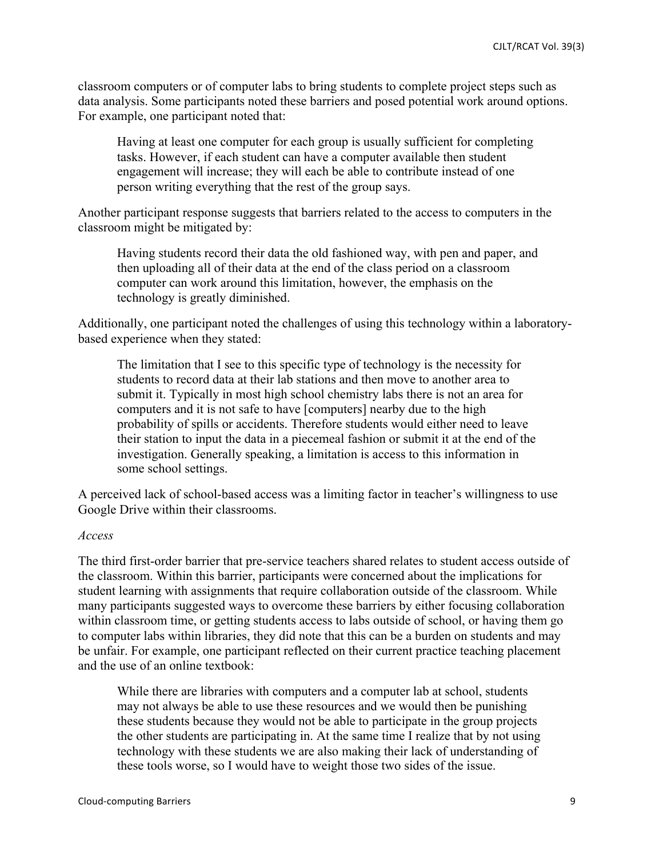classroom computers or of computer labs to bring students to complete project steps such as data analysis. Some participants noted these barriers and posed potential work around options. For example, one participant noted that:

Having at least one computer for each group is usually sufficient for completing tasks. However, if each student can have a computer available then student engagement will increase; they will each be able to contribute instead of one person writing everything that the rest of the group says.

Another participant response suggests that barriers related to the access to computers in the classroom might be mitigated by:

Having students record their data the old fashioned way, with pen and paper, and then uploading all of their data at the end of the class period on a classroom computer can work around this limitation, however, the emphasis on the technology is greatly diminished.

Additionally, one participant noted the challenges of using this technology within a laboratorybased experience when they stated:

The limitation that I see to this specific type of technology is the necessity for students to record data at their lab stations and then move to another area to submit it. Typically in most high school chemistry labs there is not an area for computers and it is not safe to have [computers] nearby due to the high probability of spills or accidents. Therefore students would either need to leave their station to input the data in a piecemeal fashion or submit it at the end of the investigation. Generally speaking, a limitation is access to this information in some school settings.

A perceived lack of school-based access was a limiting factor in teacher's willingness to use Google Drive within their classrooms.

#### *Access*

The third first-order barrier that pre-service teachers shared relates to student access outside of the classroom. Within this barrier, participants were concerned about the implications for student learning with assignments that require collaboration outside of the classroom. While many participants suggested ways to overcome these barriers by either focusing collaboration within classroom time, or getting students access to labs outside of school, or having them go to computer labs within libraries, they did note that this can be a burden on students and may be unfair. For example, one participant reflected on their current practice teaching placement and the use of an online textbook:

While there are libraries with computers and a computer lab at school, students may not always be able to use these resources and we would then be punishing these students because they would not be able to participate in the group projects the other students are participating in. At the same time I realize that by not using technology with these students we are also making their lack of understanding of these tools worse, so I would have to weight those two sides of the issue.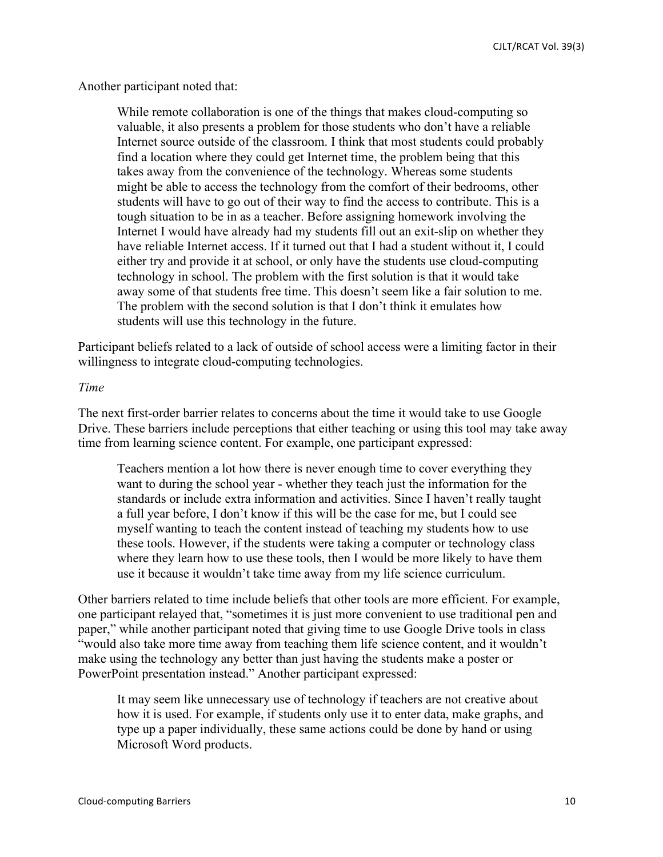CJLT/RCAT Vol. 39(3)

Another participant noted that:

While remote collaboration is one of the things that makes cloud-computing so valuable, it also presents a problem for those students who don't have a reliable Internet source outside of the classroom. I think that most students could probably find a location where they could get Internet time, the problem being that this takes away from the convenience of the technology. Whereas some students might be able to access the technology from the comfort of their bedrooms, other students will have to go out of their way to find the access to contribute. This is a tough situation to be in as a teacher. Before assigning homework involving the Internet I would have already had my students fill out an exit-slip on whether they have reliable Internet access. If it turned out that I had a student without it, I could either try and provide it at school, or only have the students use cloud-computing technology in school. The problem with the first solution is that it would take away some of that students free time. This doesn't seem like a fair solution to me. The problem with the second solution is that I don't think it emulates how students will use this technology in the future.

Participant beliefs related to a lack of outside of school access were a limiting factor in their willingness to integrate cloud-computing technologies.

#### *Time*

The next first-order barrier relates to concerns about the time it would take to use Google Drive. These barriers include perceptions that either teaching or using this tool may take away time from learning science content. For example, one participant expressed:

Teachers mention a lot how there is never enough time to cover everything they want to during the school year - whether they teach just the information for the standards or include extra information and activities. Since I haven't really taught a full year before, I don't know if this will be the case for me, but I could see myself wanting to teach the content instead of teaching my students how to use these tools. However, if the students were taking a computer or technology class where they learn how to use these tools, then I would be more likely to have them use it because it wouldn't take time away from my life science curriculum.

Other barriers related to time include beliefs that other tools are more efficient. For example, one participant relayed that, "sometimes it is just more convenient to use traditional pen and paper," while another participant noted that giving time to use Google Drive tools in class "would also take more time away from teaching them life science content, and it wouldn't make using the technology any better than just having the students make a poster or PowerPoint presentation instead." Another participant expressed:

It may seem like unnecessary use of technology if teachers are not creative about how it is used. For example, if students only use it to enter data, make graphs, and type up a paper individually, these same actions could be done by hand or using Microsoft Word products.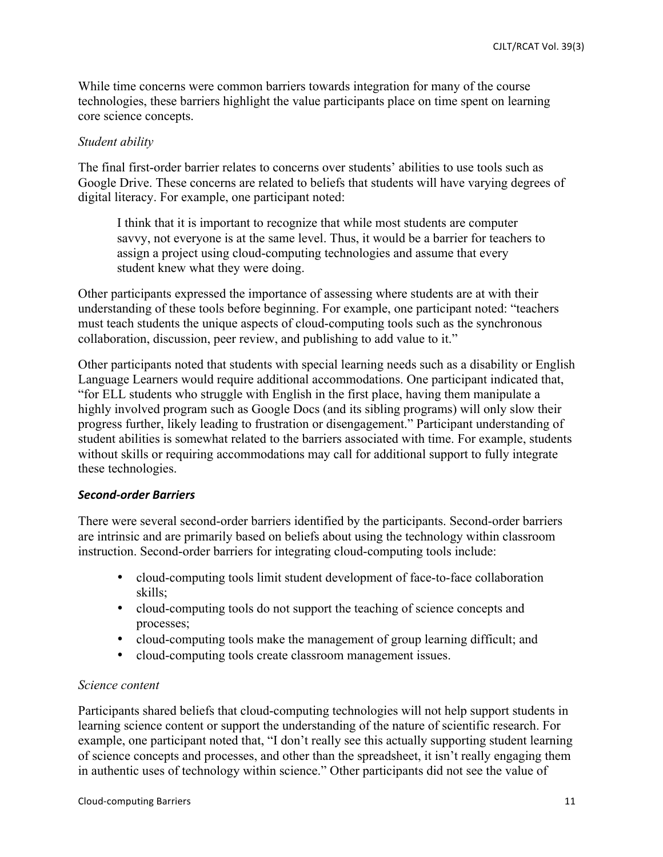While time concerns were common barriers towards integration for many of the course technologies, these barriers highlight the value participants place on time spent on learning core science concepts.

#### *Student ability*

The final first-order barrier relates to concerns over students' abilities to use tools such as Google Drive. These concerns are related to beliefs that students will have varying degrees of digital literacy. For example, one participant noted:

I think that it is important to recognize that while most students are computer savvy, not everyone is at the same level. Thus, it would be a barrier for teachers to assign a project using cloud-computing technologies and assume that every student knew what they were doing.

Other participants expressed the importance of assessing where students are at with their understanding of these tools before beginning. For example, one participant noted: "teachers must teach students the unique aspects of cloud-computing tools such as the synchronous collaboration, discussion, peer review, and publishing to add value to it."

Other participants noted that students with special learning needs such as a disability or English Language Learners would require additional accommodations. One participant indicated that, "for ELL students who struggle with English in the first place, having them manipulate a highly involved program such as Google Docs (and its sibling programs) will only slow their progress further, likely leading to frustration or disengagement." Participant understanding of student abilities is somewhat related to the barriers associated with time. For example, students without skills or requiring accommodations may call for additional support to fully integrate these technologies.

#### *Second-order Barriers*

There were several second-order barriers identified by the participants. Second-order barriers are intrinsic and are primarily based on beliefs about using the technology within classroom instruction. Second-order barriers for integrating cloud-computing tools include:

- cloud-computing tools limit student development of face-to-face collaboration skills;
- cloud-computing tools do not support the teaching of science concepts and processes;
- cloud-computing tools make the management of group learning difficult; and
- cloud-computing tools create classroom management issues.

## *Science content*

Participants shared beliefs that cloud-computing technologies will not help support students in learning science content or support the understanding of the nature of scientific research. For example, one participant noted that, "I don't really see this actually supporting student learning of science concepts and processes, and other than the spreadsheet, it isn't really engaging them in authentic uses of technology within science." Other participants did not see the value of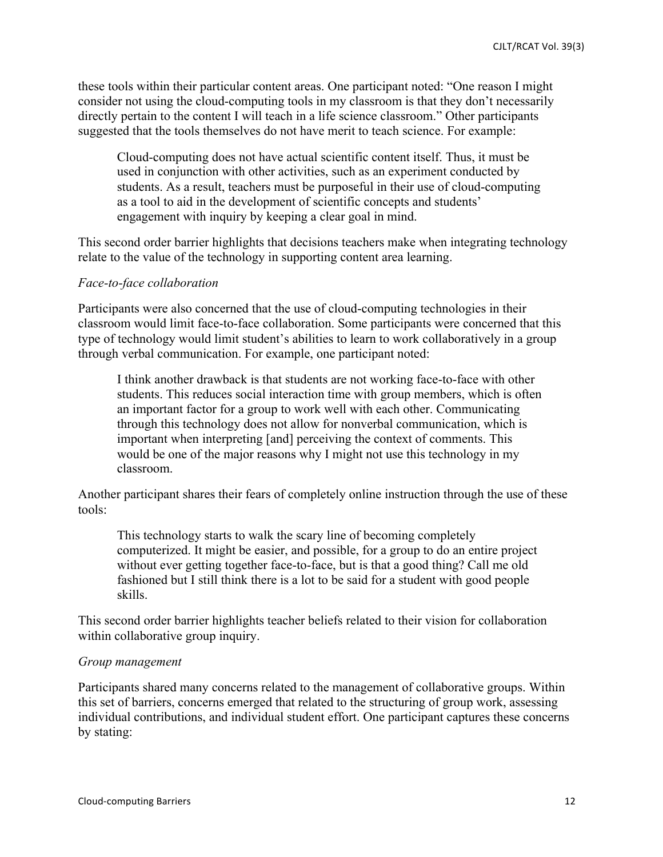these tools within their particular content areas. One participant noted: "One reason I might consider not using the cloud-computing tools in my classroom is that they don't necessarily directly pertain to the content I will teach in a life science classroom." Other participants suggested that the tools themselves do not have merit to teach science. For example:

Cloud-computing does not have actual scientific content itself. Thus, it must be used in conjunction with other activities, such as an experiment conducted by students. As a result, teachers must be purposeful in their use of cloud-computing as a tool to aid in the development of scientific concepts and students' engagement with inquiry by keeping a clear goal in mind.

This second order barrier highlights that decisions teachers make when integrating technology relate to the value of the technology in supporting content area learning.

#### *Face-to-face collaboration*

Participants were also concerned that the use of cloud-computing technologies in their classroom would limit face-to-face collaboration. Some participants were concerned that this type of technology would limit student's abilities to learn to work collaboratively in a group through verbal communication. For example, one participant noted:

I think another drawback is that students are not working face-to-face with other students. This reduces social interaction time with group members, which is often an important factor for a group to work well with each other. Communicating through this technology does not allow for nonverbal communication, which is important when interpreting [and] perceiving the context of comments. This would be one of the major reasons why I might not use this technology in my classroom.

Another participant shares their fears of completely online instruction through the use of these tools:

This technology starts to walk the scary line of becoming completely computerized. It might be easier, and possible, for a group to do an entire project without ever getting together face-to-face, but is that a good thing? Call me old fashioned but I still think there is a lot to be said for a student with good people skills.

This second order barrier highlights teacher beliefs related to their vision for collaboration within collaborative group inquiry.

#### *Group management*

Participants shared many concerns related to the management of collaborative groups. Within this set of barriers, concerns emerged that related to the structuring of group work, assessing individual contributions, and individual student effort. One participant captures these concerns by stating: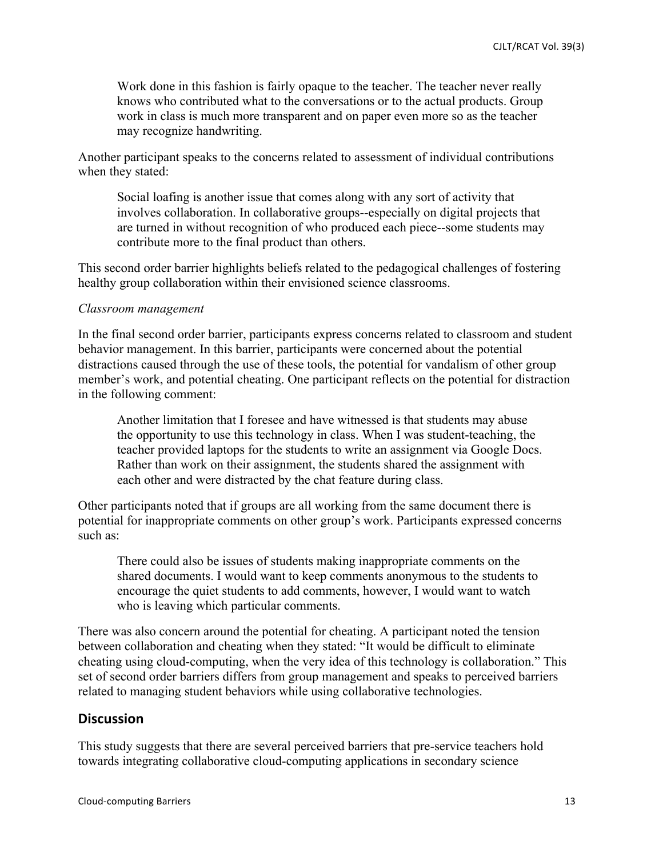Work done in this fashion is fairly opaque to the teacher. The teacher never really knows who contributed what to the conversations or to the actual products. Group work in class is much more transparent and on paper even more so as the teacher may recognize handwriting.

Another participant speaks to the concerns related to assessment of individual contributions when they stated:

Social loafing is another issue that comes along with any sort of activity that involves collaboration. In collaborative groups--especially on digital projects that are turned in without recognition of who produced each piece--some students may contribute more to the final product than others.

This second order barrier highlights beliefs related to the pedagogical challenges of fostering healthy group collaboration within their envisioned science classrooms.

#### *Classroom management*

In the final second order barrier, participants express concerns related to classroom and student behavior management. In this barrier, participants were concerned about the potential distractions caused through the use of these tools, the potential for vandalism of other group member's work, and potential cheating. One participant reflects on the potential for distraction in the following comment:

Another limitation that I foresee and have witnessed is that students may abuse the opportunity to use this technology in class. When I was student-teaching, the teacher provided laptops for the students to write an assignment via Google Docs. Rather than work on their assignment, the students shared the assignment with each other and were distracted by the chat feature during class.

Other participants noted that if groups are all working from the same document there is potential for inappropriate comments on other group's work. Participants expressed concerns such as:

There could also be issues of students making inappropriate comments on the shared documents. I would want to keep comments anonymous to the students to encourage the quiet students to add comments, however, I would want to watch who is leaving which particular comments.

There was also concern around the potential for cheating. A participant noted the tension between collaboration and cheating when they stated: "It would be difficult to eliminate cheating using cloud-computing, when the very idea of this technology is collaboration." This set of second order barriers differs from group management and speaks to perceived barriers related to managing student behaviors while using collaborative technologies.

### **Discussion**

This study suggests that there are several perceived barriers that pre-service teachers hold towards integrating collaborative cloud-computing applications in secondary science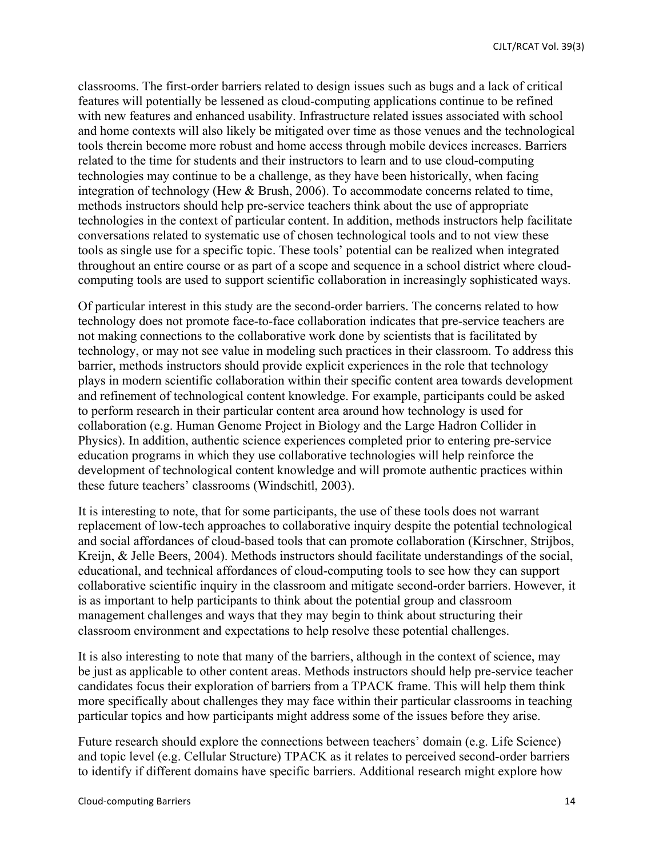classrooms. The first-order barriers related to design issues such as bugs and a lack of critical features will potentially be lessened as cloud-computing applications continue to be refined with new features and enhanced usability. Infrastructure related issues associated with school and home contexts will also likely be mitigated over time as those venues and the technological tools therein become more robust and home access through mobile devices increases. Barriers related to the time for students and their instructors to learn and to use cloud-computing technologies may continue to be a challenge, as they have been historically, when facing integration of technology (Hew & Brush, 2006). To accommodate concerns related to time, methods instructors should help pre-service teachers think about the use of appropriate technologies in the context of particular content. In addition, methods instructors help facilitate conversations related to systematic use of chosen technological tools and to not view these tools as single use for a specific topic. These tools' potential can be realized when integrated throughout an entire course or as part of a scope and sequence in a school district where cloudcomputing tools are used to support scientific collaboration in increasingly sophisticated ways.

Of particular interest in this study are the second-order barriers. The concerns related to how technology does not promote face-to-face collaboration indicates that pre-service teachers are not making connections to the collaborative work done by scientists that is facilitated by technology, or may not see value in modeling such practices in their classroom. To address this barrier, methods instructors should provide explicit experiences in the role that technology plays in modern scientific collaboration within their specific content area towards development and refinement of technological content knowledge. For example, participants could be asked to perform research in their particular content area around how technology is used for collaboration (e.g. Human Genome Project in Biology and the Large Hadron Collider in Physics). In addition, authentic science experiences completed prior to entering pre-service education programs in which they use collaborative technologies will help reinforce the development of technological content knowledge and will promote authentic practices within these future teachers' classrooms (Windschitl, 2003).

It is interesting to note, that for some participants, the use of these tools does not warrant replacement of low-tech approaches to collaborative inquiry despite the potential technological and social affordances of cloud-based tools that can promote collaboration (Kirschner, Strijbos, Kreijn, & Jelle Beers, 2004). Methods instructors should facilitate understandings of the social, educational, and technical affordances of cloud-computing tools to see how they can support collaborative scientific inquiry in the classroom and mitigate second-order barriers. However, it is as important to help participants to think about the potential group and classroom management challenges and ways that they may begin to think about structuring their classroom environment and expectations to help resolve these potential challenges.

It is also interesting to note that many of the barriers, although in the context of science, may be just as applicable to other content areas. Methods instructors should help pre-service teacher candidates focus their exploration of barriers from a TPACK frame. This will help them think more specifically about challenges they may face within their particular classrooms in teaching particular topics and how participants might address some of the issues before they arise.

Future research should explore the connections between teachers' domain (e.g. Life Science) and topic level (e.g. Cellular Structure) TPACK as it relates to perceived second-order barriers to identify if different domains have specific barriers. Additional research might explore how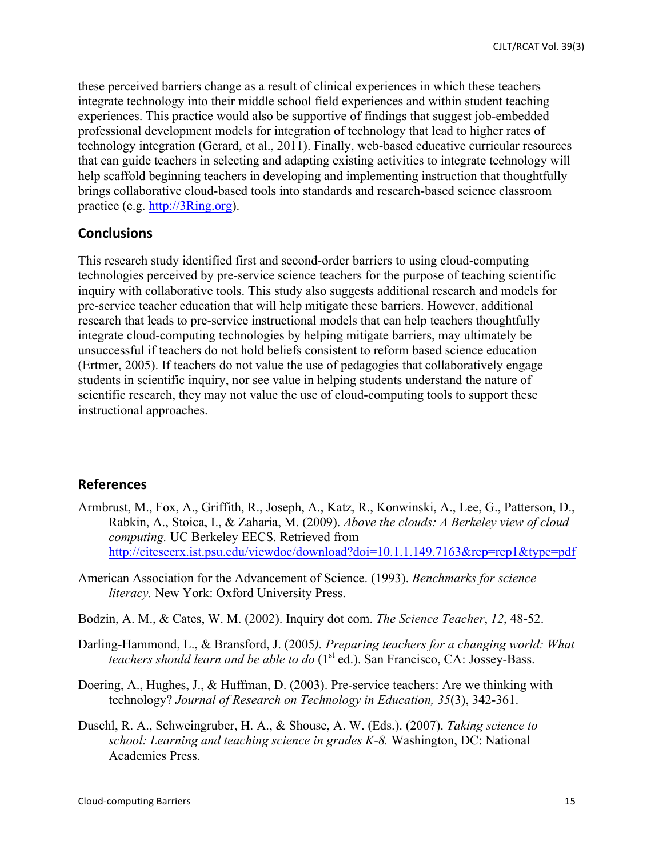these perceived barriers change as a result of clinical experiences in which these teachers integrate technology into their middle school field experiences and within student teaching experiences. This practice would also be supportive of findings that suggest job-embedded professional development models for integration of technology that lead to higher rates of technology integration (Gerard, et al., 2011). Finally, web-based educative curricular resources that can guide teachers in selecting and adapting existing activities to integrate technology will help scaffold beginning teachers in developing and implementing instruction that thoughtfully brings collaborative cloud-based tools into standards and research-based science classroom practice (e.g. http://3Ring.org).

### **Conclusions**

This research study identified first and second-order barriers to using cloud-computing technologies perceived by pre-service science teachers for the purpose of teaching scientific inquiry with collaborative tools. This study also suggests additional research and models for pre-service teacher education that will help mitigate these barriers. However, additional research that leads to pre-service instructional models that can help teachers thoughtfully integrate cloud-computing technologies by helping mitigate barriers, may ultimately be unsuccessful if teachers do not hold beliefs consistent to reform based science education (Ertmer, 2005). If teachers do not value the use of pedagogies that collaboratively engage students in scientific inquiry, nor see value in helping students understand the nature of scientific research, they may not value the use of cloud-computing tools to support these instructional approaches.

## **References**

- Armbrust, M., Fox, A., Griffith, R., Joseph, A., Katz, R., Konwinski, A., Lee, G., Patterson, D., Rabkin, A., Stoica, I., & Zaharia, M. (2009). *Above the clouds: A Berkeley view of cloud computing.* UC Berkeley EECS. Retrieved from http://citeseerx.ist.psu.edu/viewdoc/download?doi=10.1.1.149.7163&rep=rep1&type=pdf
- American Association for the Advancement of Science. (1993). *Benchmarks for science literacy.* New York: Oxford University Press.
- Bodzin, A. M., & Cates, W. M. (2002). Inquiry dot com. *The Science Teacher*, *12*, 48-52.
- Darling-Hammond, L., & Bransford, J. (2005*). Preparing teachers for a changing world: What teachers should learn and be able to do* (1<sup>st</sup> ed.). San Francisco, CA: Jossey-Bass.
- Doering, A., Hughes, J., & Huffman, D. (2003). Pre-service teachers: Are we thinking with technology? *Journal of Research on Technology in Education, 35*(3), 342-361.
- Duschl, R. A., Schweingruber, H. A., & Shouse, A. W. (Eds.). (2007). *Taking science to school: Learning and teaching science in grades K-8.* Washington, DC: National Academies Press.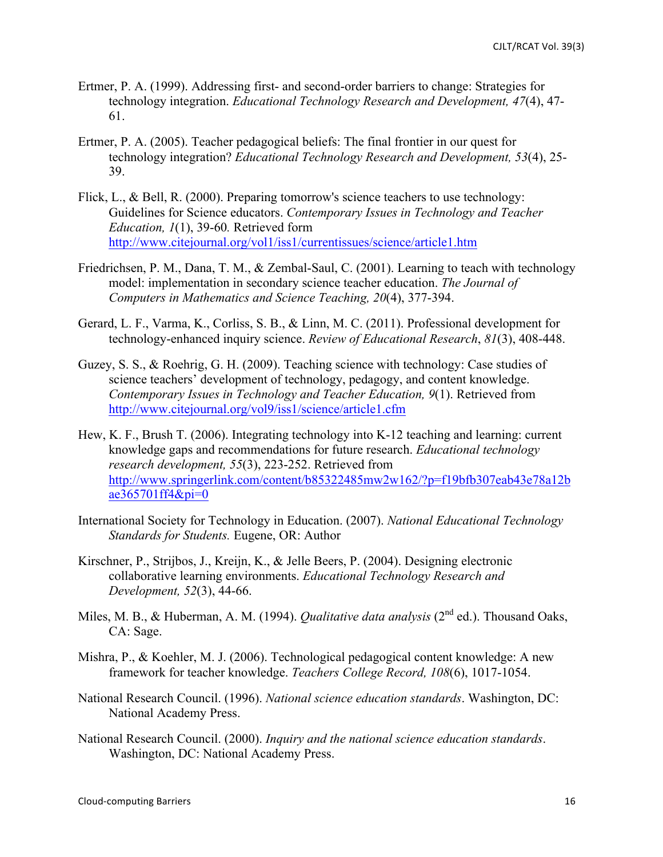- Ertmer, P. A. (1999). Addressing first- and second-order barriers to change: Strategies for technology integration. *Educational Technology Research and Development, 47*(4), 47- 61.
- Ertmer, P. A. (2005). Teacher pedagogical beliefs: The final frontier in our quest for technology integration? *Educational Technology Research and Development, 53*(4), 25- 39.
- Flick, L., & Bell, R. (2000). Preparing tomorrow's science teachers to use technology: Guidelines for Science educators. *Contemporary Issues in Technology and Teacher Education, 1*(1), 39-60*.* Retrieved form http://www.citejournal.org/vol1/iss1/currentissues/science/article1.htm
- Friedrichsen, P. M., Dana, T. M., & Zembal-Saul, C. (2001). Learning to teach with technology model: implementation in secondary science teacher education. *The Journal of Computers in Mathematics and Science Teaching, 20*(4), 377-394.
- Gerard, L. F., Varma, K., Corliss, S. B., & Linn, M. C. (2011). Professional development for technology-enhanced inquiry science. *Review of Educational Research*, *81*(3), 408-448.
- Guzey, S. S., & Roehrig, G. H. (2009). Teaching science with technology: Case studies of science teachers' development of technology, pedagogy, and content knowledge. *Contemporary Issues in Technology and Teacher Education, 9*(1). Retrieved from http://www.citejournal.org/vol9/iss1/science/article1.cfm
- Hew, K. F., Brush T. (2006). Integrating technology into K-12 teaching and learning: current knowledge gaps and recommendations for future research. *Educational technology research development, 55*(3), 223-252. Retrieved from http://www.springerlink.com/content/b85322485mw2w162/?p=f19bfb307eab43e78a12b  $ae365701ff4π=0$
- International Society for Technology in Education. (2007). *National Educational Technology Standards for Students.* Eugene, OR: Author
- Kirschner, P., Strijbos, J., Kreijn, K., & Jelle Beers, P. (2004). Designing electronic collaborative learning environments. *Educational Technology Research and Development, 52*(3), 44-66.
- Miles, M. B., & Huberman, A. M. (1994). *Qualitative data analysis* ( $2<sup>nd</sup>$  ed.). Thousand Oaks, CA: Sage.
- Mishra, P., & Koehler, M. J. (2006). Technological pedagogical content knowledge: A new framework for teacher knowledge. *Teachers College Record, 108*(6), 1017-1054.
- National Research Council. (1996). *National science education standards*. Washington, DC: National Academy Press.
- National Research Council. (2000). *Inquiry and the national science education standards*. Washington, DC: National Academy Press.